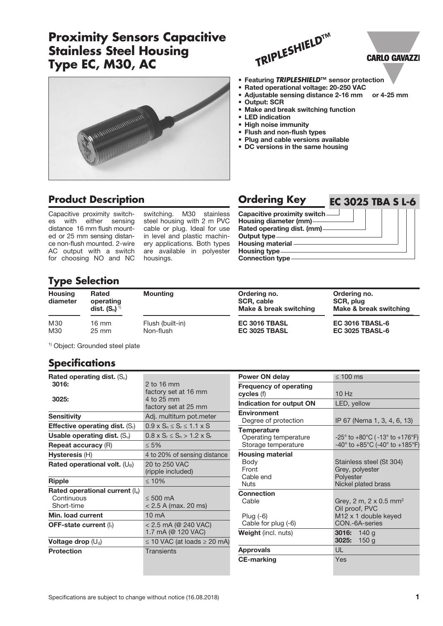## **Proximity Sensors Capacitive Stainless Steel Housing Type EC, M30, AC**



# **CARLO GAVAZZI**



- 
- Adjustable sensing distance 2-16 mm or 4-25 mm
- Output: SCR
- Make and break switching function
- LED indication
- High noise immunity
- Flush and non-flush types
- Plug and cable versions available • DC versions in the same housing

**Product Description** 

*MARAMARA ARABAN* 

Capacitive proximity switch-<br>es with either sensing es with either sensing distance 16 mm flush mounted or 25 mm sensing distance non-flush mounted. 2-wire AC output with a switch for choosing NO and NC

switching. M30 stainless steel housing with 2 m PVC cable or plug. Ideal for use in level and plastic machinery applications. Both types are available in polyester housings.

| <b>Ordering Key</b>           | <b>EC 3025 TBA S L-6</b> |
|-------------------------------|--------------------------|
| Capacitive proximity switch - |                          |
| Housing diameter (mm)-        |                          |
| Rated operating dist. (mm)-   |                          |
| Output type                   |                          |
| <b>Housing material</b>       |                          |
| <b>Housing type-</b>          |                          |
| <b>Connection type</b>        |                          |

### **Type Selection**

| <b>Housing</b><br>diameter | <b>Rated</b><br>operating<br>dist. $(S_n)^{1}$ | <b>Mounting</b>  | Ordering no.<br>SCR, cable<br>Make & break switching | Ordering no.<br>SCR, plug<br>Make & break switching |
|----------------------------|------------------------------------------------|------------------|------------------------------------------------------|-----------------------------------------------------|
| M30                        | $16 \text{ mm}$                                | Flush (built-in) | EC 3016 TBASL                                        | <b>EC 3016 TBASL-6</b>                              |
| M30                        | $25 \text{ mm}$                                | Non-flush        | EC 3025 TBASL                                        | <b>EC 3025 TBASL-6</b>                              |

1) Object: Grounded steel plate

#### **Specifications**

| Rated operating dist. $(S_n)$            |                                            |
|------------------------------------------|--------------------------------------------|
| 3016:                                    | 2 to 16 mm                                 |
| 3025:                                    | factory set at 16 mm<br>4 to 25 mm         |
|                                          | factory set at 25 mm                       |
| <b>Sensitivity</b>                       | Adj. multiturn pot.meter                   |
| <b>Effective operating dist.</b> $(S_i)$ | $0.9 \times S_n \le S_r \le 1.1 \times S$  |
| Usable operating dist. $(S_u)$           | $0.8 \times S_r \leq S_n > 1.2 \times S_r$ |
| <b>Repeat accuracy (R)</b>               | $\leq 5\%$                                 |
| Hysteresis (H)                           | 4 to 20% of sensing distance               |
| Rated operational volt. $(U_B)$          | 20 to 250 VAC                              |
|                                          | (ripple included)                          |
| Ripple                                   | $\leq 10\%$                                |
| Rated operational current $(I_e)$        |                                            |
| Continuous                               | $< 500 \text{ mA}$                         |
| Short-time                               | $<$ 2.5 A (max. 20 ms)                     |
| Min. load current                        | $10 \text{ mA}$                            |
| <b>OFF-state current (I<sub>r</sub>)</b> | $< 2.5$ mA (@ 240 VAC)                     |
|                                          | 1.7 mA (@ 120 VAC)                         |
| Voltage drop $(U_d)$                     | $\leq$ 10 VAC (at loads $\geq$ 20 mA)      |
| <b>Protection</b>                        | Transients                                 |
|                                          |                                            |
|                                          |                                            |

| <b>Power ON delay</b>                                                | $\leq 100$ ms                                                                                     |  |  |
|----------------------------------------------------------------------|---------------------------------------------------------------------------------------------------|--|--|
| <b>Frequency of operating</b><br>cycles (f)                          | 10Hz                                                                                              |  |  |
| Indication for output ON                                             | LED, yellow                                                                                       |  |  |
| <b>Environment</b><br>Degree of protection                           | IP 67 (Nema 1, 3, 4, 6, 13)                                                                       |  |  |
| <b>Temperature</b><br>Operating temperature<br>Storage temperature   | -25° to +80°C ( $-13$ ° to +176°F)<br>$-40^{\circ}$ to $+85^{\circ}$ C (-40° to $+185^{\circ}$ F) |  |  |
| <b>Housing material</b><br>Body<br>Front<br>Cable end<br><b>Nuts</b> | Stainless steel (St 304)<br>Grey, polyester<br>Polyester<br>Nickel plated brass                   |  |  |
| Connection<br>Cable<br>Plug $(-6)$<br>Cable for plug (-6)            | Grey, 2 m, 2 x 0.5 mm <sup>2</sup><br>Oil proof, PVC<br>M12 x 1 double keyed<br>CON.-6A-series    |  |  |
| <b>Weight</b> (incl. nuts)                                           | 3016: $140 g$<br>3025:<br>150 <sub>g</sub>                                                        |  |  |
| <b>Approvals</b>                                                     | UL                                                                                                |  |  |
| <b>CE-marking</b>                                                    | Yes                                                                                               |  |  |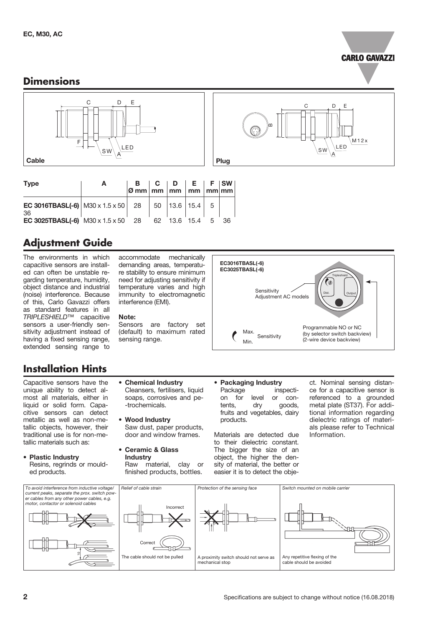

LED

E

M12x

#### **Dimensions**



| <b>Type</b>                                                                            |  |  |  |    |
|----------------------------------------------------------------------------------------|--|--|--|----|
| <b>EC 3016TBASL(-6)</b> $MS0 \times 1.5 \times 50$   28   50   13.6   15.4   5  <br>36 |  |  |  |    |
| EC 3025TBASL(-6) M30 x 1.5 x 50 28 62 13.6 15.4 5                                      |  |  |  | 36 |

### **Adjustment Guide**

The environments in which capacitive sensors are installed can often be unstable regarding temperature, humidity, object distance and industrial (noise) interference. Because of this, Carlo Gavazzi offers as standard features in all *TRIPLESHIELD*™ capacitive sensors a user-friendly sensitivity adjustment instead of having a fixed sensing range, extended sensing range to

**Installation Hints**

Capacitive sensors have the unique ability to detect almost all materials, either in liquid or solid form. Capacitive sensors can detect metallic as well as non-metallic objects, however, their traditional use is for non-metallic materials such as:

• Plastic Industry Resins, regrinds or moulded products.

accommodate mechanically demanding areas, temperature stability to ensure minimum need for adjusting sensitivity if temperature varies and high immunity to electromagnetic interference (EMI).

#### Note:

Sensors are factory set (default) to maximum rated sensing range.

Cleansers, fertilisers, liquid soaps, corrosives and pe-

Saw dust, paper products, door and window frames.

Raw material, clay or finished products, bottles.

• Chemical Industry

-trochemicals.

• Wood Industry

• Ceramic & Glass **Industry** 



- Packaging Industry Package inspection for level or con-<br>tents, dry goods, tents, dry goods, fruits and vegetables, dairy products.
- Materials are detected due to their dielectric constant. The bigger the size of an object, the higher the density of material, the better or easier it is to detect the obje-

ct. Nominal sensing distance for a capacitive sensor is referenced to a grounded metal plate (ST37). For additional information regarding dielectric ratings of materials please refer to Technical Information.